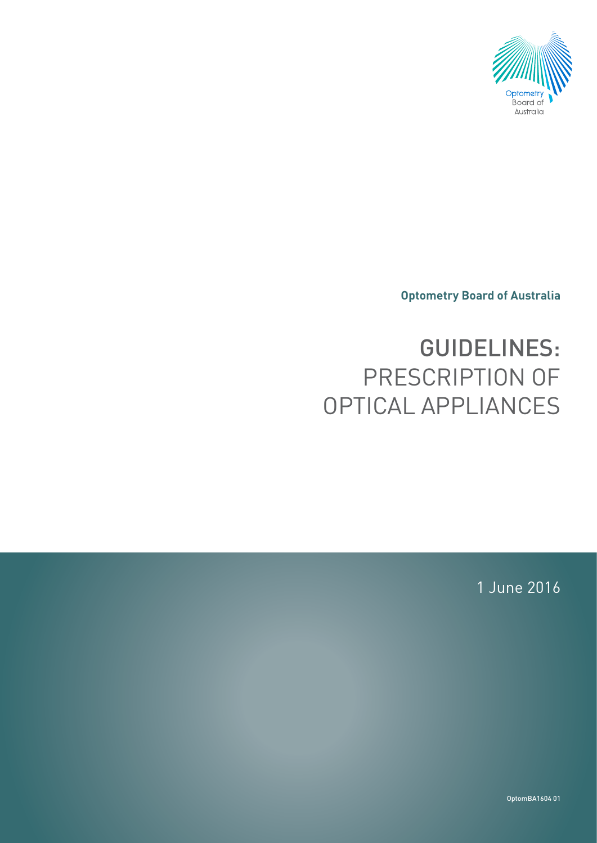

**Optometry Board of Australia**

# GUIDELINES: PRESCRIPTION OF OPTICAL APPLIANCES

1 June 2016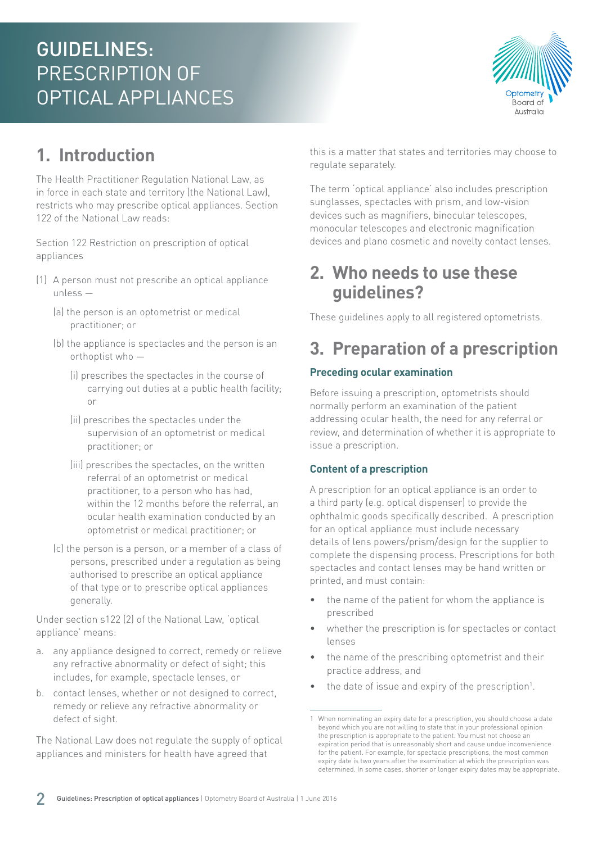# GUIDELINES: PRESCRIPTION OF OPTICAL APPLIANCES



## **1. Introduction**

The Health Practitioner Regulation National Law, as in force in each state and territory (the National Law), restricts who may prescribe optical appliances. Section 122 of the National Law reads:

Section 122 Restriction on prescription of optical appliances

- (1) A person must not prescribe an optical appliance unless —
	- (a) the person is an optometrist or medical practitioner; or
	- (b) the appliance is spectacles and the person is an orthoptist who —
		- (i) prescribes the spectacles in the course of carrying out duties at a public health facility; or
		- (ii) prescribes the spectacles under the supervision of an optometrist or medical practitioner; or
		- (iii) prescribes the spectacles, on the written referral of an optometrist or medical practitioner, to a person who has had, within the 12 months before the referral, an ocular health examination conducted by an optometrist or medical practitioner; or
	- (c) the person is a person, or a member of a class of persons, prescribed under a regulation as being authorised to prescribe an optical appliance of that type or to prescribe optical appliances generally.

Under section s122 (2) of the National Law, 'optical appliance' means:

- a. any appliance designed to correct, remedy or relieve any refractive abnormality or defect of sight; this includes, for example, spectacle lenses, or
- b. contact lenses, whether or not designed to correct, remedy or relieve any refractive abnormality or defect of sight.

The National Law does not regulate the supply of optical appliances and ministers for health have agreed that

this is a matter that states and territories may choose to regulate separately.

The term 'optical appliance' also includes prescription sunglasses, spectacles with prism, and low-vision devices such as magnifiers, binocular telescopes, monocular telescopes and electronic magnification devices and plano cosmetic and novelty contact lenses.

### **2. Who needs to use these guidelines?**

These guidelines apply to all registered optometrists.

### **3. Preparation of a prescription**

#### **Preceding ocular examination**

Before issuing a prescription, optometrists should normally perform an examination of the patient addressing ocular health, the need for any referral or review, and determination of whether it is appropriate to issue a prescription.

#### **Content of a prescription**

A prescription for an optical appliance is an order to a third party (e.g. optical dispenser) to provide the ophthalmic goods specifically described. A prescription for an optical appliance must include necessary details of lens powers/prism/design for the supplier to complete the dispensing process. Prescriptions for both spectacles and contact lenses may be hand written or printed, and must contain:

- the name of the patient for whom the appliance is prescribed
- whether the prescription is for spectacles or contact lenses
- the name of the prescribing optometrist and their practice address, and
- the date of issue and expiry of the prescription<sup>1</sup>.

<sup>1</sup> When nominating an expiry date for a prescription, you should choose a date beyond which you are not willing to state that in your professional opinion the prescription is appropriate to the patient. You must not choose an expiration period that is unreasonably short and cause undue inconvenience for the patient. For example, for spectacle prescriptions, the most common expiry date is two years after the examination at which the prescription was determined. In some cases, shorter or longer expiry dates may be appropriate.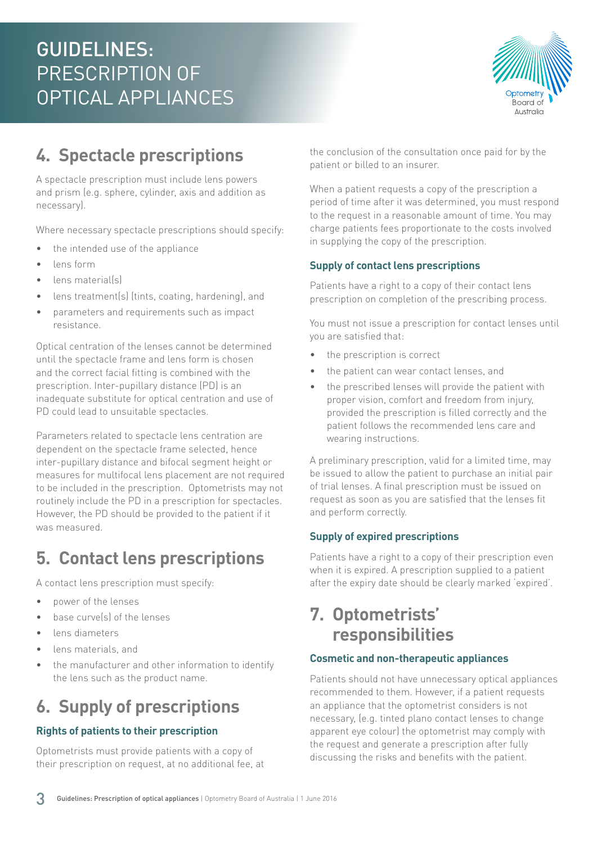

# **4. Spectacle prescriptions**

A spectacle prescription must include lens powers and prism (e.g. sphere, cylinder, axis and addition as necessary).

Where necessary spectacle prescriptions should specify:

- the intended use of the appliance
- lens form
- lens material(s)
- lens treatment(s) (tints, coating, hardening), and
- parameters and requirements such as impact resistance.

Optical centration of the lenses cannot be determined until the spectacle frame and lens form is chosen and the correct facial fitting is combined with the prescription. Inter-pupillary distance (PD) is an inadequate substitute for optical centration and use of PD could lead to unsuitable spectacles.

Parameters related to spectacle lens centration are dependent on the spectacle frame selected, hence inter-pupillary distance and bifocal segment height or measures for multifocal lens placement are not required to be included in the prescription. Optometrists may not routinely include the PD in a prescription for spectacles. However, the PD should be provided to the patient if it was measured.

# **5. Contact lens prescriptions**

A contact lens prescription must specify:

- power of the lenses
- base curve(s) of the lenses
- lens diameters
- lens materials, and
- the manufacturer and other information to identify the lens such as the product name.

## **6. Supply of prescriptions**

#### **Rights of patients to their prescription**

Optometrists must provide patients with a copy of their prescription on request, at no additional fee, at the conclusion of the consultation once paid for by the patient or billed to an insurer.

When a patient requests a copy of the prescription a period of time after it was determined, you must respond to the request in a reasonable amount of time. You may charge patients fees proportionate to the costs involved in supplying the copy of the prescription.

#### **Supply of contact lens prescriptions**

Patients have a right to a copy of their contact lens prescription on completion of the prescribing process.

You must not issue a prescription for contact lenses until you are satisfied that:

- the prescription is correct
- the patient can wear contact lenses, and
- the prescribed lenses will provide the patient with proper vision, comfort and freedom from injury, provided the prescription is filled correctly and the patient follows the recommended lens care and wearing instructions.

A preliminary prescription, valid for a limited time, may be issued to allow the patient to purchase an initial pair of trial lenses. A final prescription must be issued on request as soon as you are satisfied that the lenses fit and perform correctly.

#### **Supply of expired prescriptions**

Patients have a right to a copy of their prescription even when it is expired. A prescription supplied to a patient after the expiry date should be clearly marked 'expired'.

### **7. Optometrists' responsibilities**

#### **Cosmetic and non-therapeutic appliances**

Patients should not have unnecessary optical appliances recommended to them. However, if a patient requests an appliance that the optometrist considers is not necessary, (e.g. tinted plano contact lenses to change apparent eye colour) the optometrist may comply with the request and generate a prescription after fully discussing the risks and benefits with the patient.